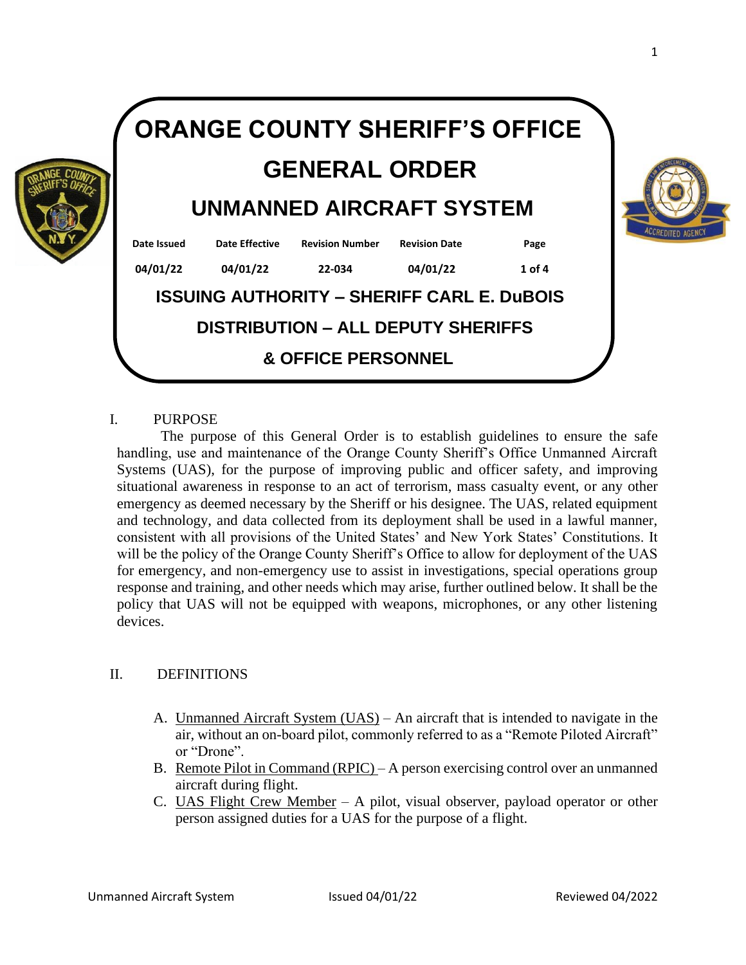

#### I. PURPOSE

The purpose of this General Order is to establish guidelines to ensure the safe handling, use and maintenance of the Orange County Sheriff's Office Unmanned Aircraft Systems (UAS), for the purpose of improving public and officer safety, and improving situational awareness in response to an act of terrorism, mass casualty event, or any other emergency as deemed necessary by the Sheriff or his designee. The UAS, related equipment and technology, and data collected from its deployment shall be used in a lawful manner, consistent with all provisions of the United States' and New York States' Constitutions. It will be the policy of the Orange County Sheriff's Office to allow for deployment of the UAS for emergency, and non-emergency use to assist in investigations, special operations group response and training, and other needs which may arise, further outlined below. It shall be the policy that UAS will not be equipped with weapons, microphones, or any other listening devices.

## II. DEFINITIONS

- A. Unmanned Aircraft System (UAS) An aircraft that is intended to navigate in the air, without an on-board pilot, commonly referred to as a "Remote Piloted Aircraft" or "Drone".
- B. Remote Pilot in Command  $(R<sub>PLC</sub>) A$  person exercising control over an unmanned aircraft during flight.
- C. UAS Flight Crew Member A pilot, visual observer, payload operator or other person assigned duties for a UAS for the purpose of a flight.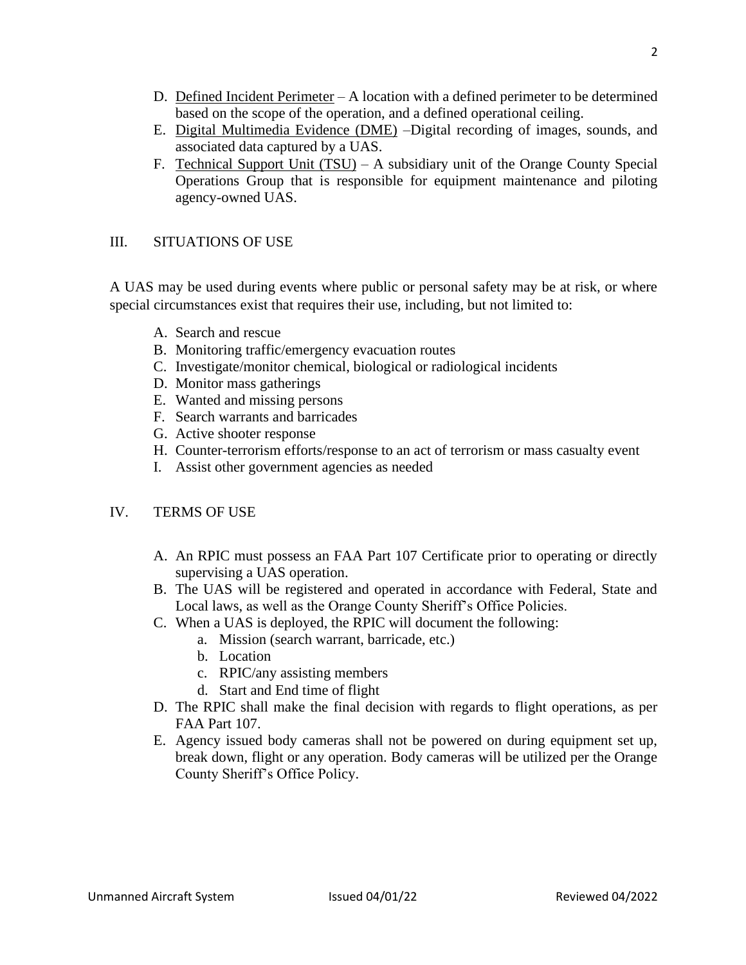- D. Defined Incident Perimeter  $-A$  location with a defined perimeter to be determined based on the scope of the operation, and a defined operational ceiling.
- E. Digital Multimedia Evidence (DME) –Digital recording of images, sounds, and associated data captured by a UAS.
- F. Technical Support Unit (TSU) A subsidiary unit of the Orange County Special Operations Group that is responsible for equipment maintenance and piloting agency-owned UAS.

# III. SITUATIONS OF USE

A UAS may be used during events where public or personal safety may be at risk, or where special circumstances exist that requires their use, including, but not limited to:

- A. Search and rescue
- B. Monitoring traffic/emergency evacuation routes
- C. Investigate/monitor chemical, biological or radiological incidents
- D. Monitor mass gatherings
- E. Wanted and missing persons
- F. Search warrants and barricades
- G. Active shooter response
- H. Counter-terrorism efforts/response to an act of terrorism or mass casualty event
- I. Assist other government agencies as needed

## IV. TERMS OF USE

- A. An RPIC must possess an FAA Part 107 Certificate prior to operating or directly supervising a UAS operation.
- B. The UAS will be registered and operated in accordance with Federal, State and Local laws, as well as the Orange County Sheriff's Office Policies.
- C. When a UAS is deployed, the RPIC will document the following:
	- a. Mission (search warrant, barricade, etc.)
	- b. Location
	- c. RPIC/any assisting members
	- d. Start and End time of flight
- D. The RPIC shall make the final decision with regards to flight operations, as per FAA Part 107.
- E. Agency issued body cameras shall not be powered on during equipment set up, break down, flight or any operation. Body cameras will be utilized per the Orange County Sheriff's Office Policy.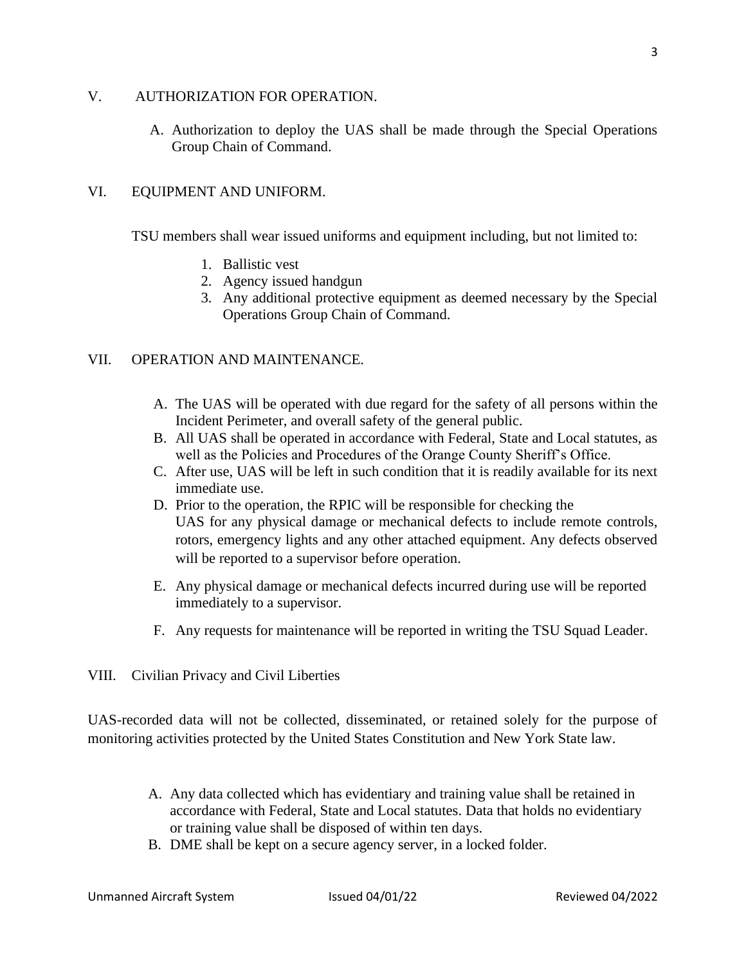#### V. AUTHORIZATION FOR OPERATION.

A. Authorization to deploy the UAS shall be made through the Special Operations Group Chain of Command.

# VI. EQUIPMENT AND UNIFORM.

TSU members shall wear issued uniforms and equipment including, but not limited to:

- 1. Ballistic vest
- 2. Agency issued handgun
- 3. Any additional protective equipment as deemed necessary by the Special Operations Group Chain of Command.

## VII. OPERATION AND MAINTENANCE.

- A. The UAS will be operated with due regard for the safety of all persons within the Incident Perimeter, and overall safety of the general public.
- B. All UAS shall be operated in accordance with Federal, State and Local statutes, as well as the Policies and Procedures of the Orange County Sheriff's Office.
- C. After use, UAS will be left in such condition that it is readily available for its next immediate use.
- D. Prior to the operation, the RPIC will be responsible for checking the UAS for any physical damage or mechanical defects to include remote controls, rotors, emergency lights and any other attached equipment. Any defects observed will be reported to a supervisor before operation.
- E. Any physical damage or mechanical defects incurred during use will be reported immediately to a supervisor.
- F. Any requests for maintenance will be reported in writing the TSU Squad Leader.
- VIII. Civilian Privacy and Civil Liberties

UAS-recorded data will not be collected, disseminated, or retained solely for the purpose of monitoring activities protected by the United States Constitution and New York State law.

- A. Any data collected which has evidentiary and training value shall be retained in accordance with Federal, State and Local statutes. Data that holds no evidentiary or training value shall be disposed of within ten days.
- B. DME shall be kept on a secure agency server, in a locked folder.